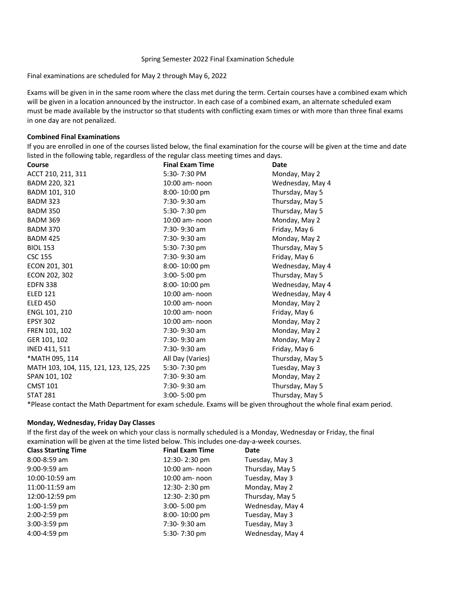#### Spring Semester 2022 Final Examination Schedule

Final examinations are scheduled for May 2 through May 6, 2022

Exams will be given in in the same room where the class met during the term. Certain courses have a combined exam which will be given in a location announced by the instructor. In each case of a combined exam, an alternate scheduled exam must be made available by the instructor so that students with conflicting exam times or with more than three final exams in one day are not penalized.

# **Combined Final Examinations**

If you are enrolled in one of the courses listed below, the final examination for the course will be given at the time and date listed in the following table, regardless of the regular class meeting times and days.

| Course                                 | <b>Final Exam Time</b> | Date                        |
|----------------------------------------|------------------------|-----------------------------|
| ACCT 210, 211, 311                     | 5:30-7:30 PM           | Monday, May 2               |
| BADM 220, 321                          | $10:00$ am- noon       | Wednesday, May 4            |
| BADM 101, 310                          | 8:00-10:00 pm          | Thursday, May 5             |
| <b>BADM 323</b>                        | 7:30-9:30 am           | Thursday, May 5             |
| <b>BADM 350</b>                        | 5:30-7:30 pm           | Thursday, May 5             |
| <b>BADM 369</b>                        | 10:00 am- noon         | Monday, May 2               |
| <b>BADM 370</b>                        | 7:30-9:30 am           | Friday, May 6               |
| <b>BADM 425</b>                        | 7:30-9:30 am           | Monday, May 2               |
| <b>BIOL 153</b>                        | 5:30-7:30 pm           | Thursday, May 5             |
| <b>CSC 155</b>                         | 7:30-9:30 am           | Friday, May 6               |
| ECON 201, 301                          | 8:00-10:00 pm          | Wednesday, May 4            |
| ECON 202, 302                          | 3:00-5:00 pm           | Thursday, May 5             |
| <b>EDFN 338</b>                        | 8:00-10:00 pm          | Wednesday, May 4            |
| <b>ELED 121</b>                        | 10:00 am- noon         | Wednesday, May 4            |
| <b>ELED 450</b>                        | 10:00 am- noon         | Monday, May 2               |
| ENGL 101, 210                          | 10:00 am- noon         | Friday, May 6               |
| <b>EPSY 302</b>                        | 10:00 am- noon         | Monday, May 2               |
| FREN 101, 102                          | 7:30-9:30 am           | Monday, May 2               |
| GER 101, 102                           | 7:30-9:30 am           | Monday, May 2               |
| INED 411, 511                          | 7:30-9:30 am           | Friday, May 6               |
| *MATH 095, 114                         | All Day (Varies)       | Thursday, May 5             |
| MATH 103, 104, 115, 121, 123, 125, 225 | 5:30-7:30 pm           | Tuesday, May 3              |
| SPAN 101, 102                          | 7:30-9:30 am           | Monday, May 2               |
| <b>CMST 101</b>                        | 7:30-9:30 am           | Thursday, May 5             |
| <b>STAT 281</b>                        | 3:00-5:00 pm           | Thursday, May 5             |
|                                        |                        | $\sim$ 1 $\sim$<br>$\cdots$ |

\*Please contact the Math Department for exam schedule. Exams will be given throughout the whole final exam period.

# **Monday, Wednesday, Friday Day Classes**

If the first day of the week on which your class is normally scheduled is a Monday, Wednesday or Friday, the final examination will be given at the time listed below. This includes one-day-a-week courses.

| <b>Class Starting Time</b> | <b>Final Exam Time</b>   | Date             |
|----------------------------|--------------------------|------------------|
| $8:00 - 8:59$ am           | 12:30-2:30 pm            | Tuesday, May 3   |
| $9:00-9:59$ am             | $10:00$ am- $\sqrt{100}$ | Thursday, May 5  |
| 10:00-10:59 am             | $10:00$ am- $\sqrt{100}$ | Tuesday, May 3   |
| 11:00-11:59 am             | 12:30-2:30 pm            | Monday, May 2    |
| 12:00-12:59 pm             | 12:30-2:30 pm            | Thursday, May 5  |
| 1:00-1:59 pm               | 3:00-5:00 pm             | Wednesday, May 4 |
| 2:00-2:59 pm               | 8:00-10:00 pm            | Tuesday, May 3   |
| 3:00-3:59 pm               | 7:30-9:30 am             | Tuesday, May 3   |
| 4:00-4:59 pm               | 5:30-7:30 pm             | Wednesday, May 4 |